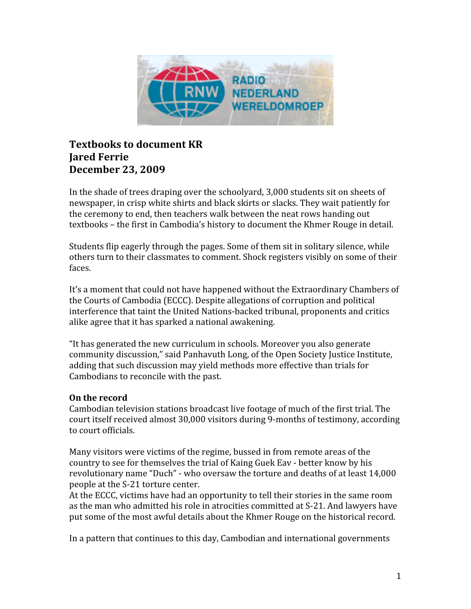

## **Textbooks to document KR Jared Ferrie December 23, 2009**

In the shade of trees draping over the schoolyard, 3,000 students sit on sheets of newspaper, in crisp white shirts and black skirts or slacks. They wait patiently for the ceremony to end, then teachers walk between the neat rows handing out textbooks – the first in Cambodia's history to document the Khmer Rouge in detail.

Students
flip
eagerly
through
the
pages.
Some
of
them
sit
in
solitary
silence,
while others
turn
to
their
classmates
to
comment.
Shock
registers
visibly
on
some
of
their faces.

It's a moment that could not have happened without the Extraordinary Chambers of the
Courts
of
Cambodia
(ECCC).
Despite
allegations
of
corruption
and
political interference
that
taint
the
United
Nations‐backed
tribunal,
proponents
and
critics alike
agree
that
it
has
sparked
a
national
awakening.

"It
has
generated
the
new
curriculum
in
schools.
Moreover
you
also
generate community
discussion,"
said
Panhavuth
Long,
of
the
Open
Society
Justice
Institute, adding
that
such
discussion
may
yield
methods
more
effective
than
trials
for Cambodians
to
reconcile
with
the
past.

## **On
the
record**

Cambodian
television
stations
broadcast
live
footage
of
much
of
the
first
trial.
The court
itself
received
almost
30,000
visitors
during
9‐months
of
testimony,
according to
court
officials.

Many visitors were victims of the regime, bussed in from remote areas of the country
to
see
for
themselves
the
trial
of
Kaing
Guek
Eav
‐
better
know
by
his revolutionary name "Duch" - who oversaw the torture and deaths of at least 14,000 people
at
the
S‐21
torture
center.

At
the
ECCC,
victims
have
had
an
opportunity
to
tell
their
stories
in
the
same
room as
the
man
who
admitted
his
role
in
atrocities
committed
at
S‐21.
And
lawyers
have put
some
of
the
most
awful
details
about
the
Khmer
Rouge
on
the
historical
record.

In
a
pattern
that
continues
to
this
day,
Cambodian
and
international
governments